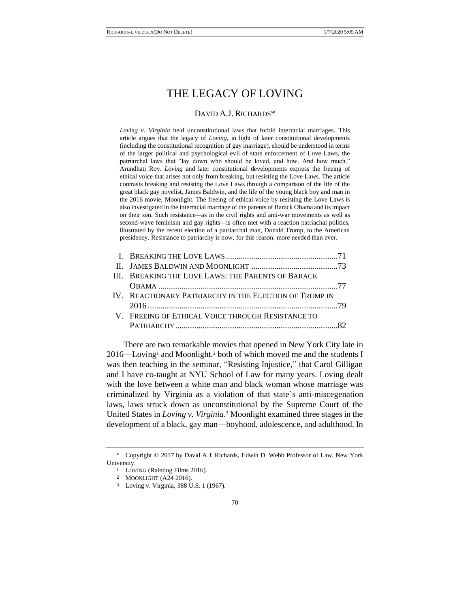# THE LEGACY OF LOVING

# DAVID A.J. RICHARDS\*

*Loving v. Virginia* held unconstitutional laws that forbid interracial marriages. This article argues that the legacy of *Loving*, in light of later constitutional developments (including the constitutional recognition of gay marriage), should be understood in terms of the larger political and psychological evil of state enforcement of Love Laws, the patriarchal laws that "lay down who should be loved, and how. And how much." Arundhati Roy. *Loving* and later constitutional developments express the freeing of ethical voice that arises not only from breaking, but resisting the Love Laws. The article contrasts breaking and resisting the Love Laws through a comparison of the life of the great black gay novelist, James Baldwin, and the life of the young black boy and man in the 2016 movie, Moonlight. The freeing of ethical voice by resisting the Love Laws is also investigated in the interracial marriage of the parents of Barack Obama and its impact on their son. Such resistance*—*as in the civil rights and anti-war movements as well as second-wave feminism and gay rights*—*is often met with a reaction patriachal politics, illustrated by the recent election of a patriarchal man, Donald Trump, to the American presidency. Resistance to patriarchy is now, for this reason, more needed than ever.

| III. BREAKING THE LOVE LAWS: THE PARENTS OF BARACK     |  |
|--------------------------------------------------------|--|
|                                                        |  |
| IV. REACTIONARY PATRIARCHY IN THE ELECTION OF TRUMP IN |  |
|                                                        |  |
| V. FREEING OF ETHICAL VOICE THROUGH RESISTANCE TO      |  |
|                                                        |  |

There are two remarkable movies that opened in New York City late in  $2016$ —Loving<sup>1</sup> and Moonlight,<sup>2</sup> both of which moved me and the students I was then teaching in the seminar, "Resisting Injustice," that Carol Gilligan and I have co-taught at NYU School of Law for many years. Loving dealt with the love between a white man and black woman whose marriage was criminalized by Virginia as a violation of that state's anti-miscegenation laws, laws struck down as unconstitutional by the Supreme Court of the United States in *Loving v. Virginia*. <sup>3</sup> Moonlight examined three stages in the development of a black, gay man—boyhood, adolescence, and adulthood. In

Copyright © 2017 by David A.J. Richards, Edwin D. Webb Professor of Law, New York University.

<sup>1</sup> LOVING (Raindog Films 2016).

<sup>2</sup> MOONLIGHT (A24 2016).

<sup>3</sup> Loving v. Virginia, 388 U.S. 1 (1967).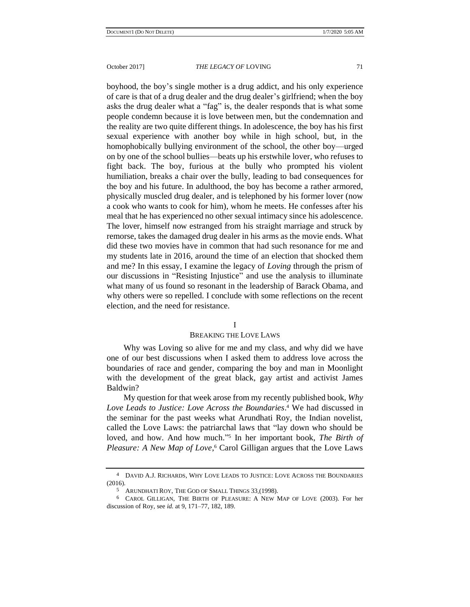boyhood, the boy's single mother is a drug addict, and his only experience of care is that of a drug dealer and the drug dealer's girlfriend; when the boy asks the drug dealer what a "fag" is, the dealer responds that is what some people condemn because it is love between men, but the condemnation and the reality are two quite different things. In adolescence, the boy has his first sexual experience with another boy while in high school, but, in the homophobically bullying environment of the school, the other boy—urged on by one of the school bullies—beats up his erstwhile lover, who refuses to fight back. The boy, furious at the bully who prompted his violent humiliation, breaks a chair over the bully, leading to bad consequences for the boy and his future. In adulthood, the boy has become a rather armored, physically muscled drug dealer, and is telephoned by his former lover (now a cook who wants to cook for him), whom he meets. He confesses after his meal that he has experienced no other sexual intimacy since his adolescence. The lover, himself now estranged from his straight marriage and struck by remorse, takes the damaged drug dealer in his arms as the movie ends. What did these two movies have in common that had such resonance for me and my students late in 2016, around the time of an election that shocked them and me? In this essay, I examine the legacy of *Loving* through the prism of our discussions in "Resisting Injustice" and use the analysis to illuminate what many of us found so resonant in the leadership of Barack Obama, and why others were so repelled. I conclude with some reflections on the recent election, and the need for resistance.

#### <span id="page-1-0"></span>I

## BREAKING THE LOVE LAWS

Why was Loving so alive for me and my class, and why did we have one of our best discussions when I asked them to address love across the boundaries of race and gender, comparing the boy and man in Moonlight with the development of the great black, gay artist and activist James Baldwin?

My question for that week arose from my recently published book, *Why Love Leads to Justice: Love Across the Boundaries*. <sup>4</sup> We had discussed in the seminar for the past weeks what Arundhati Roy, the Indian novelist, called the Love Laws: the patriarchal laws that "lay down who should be loved, and how. And how much." 5 In her important book, *The Birth of Pleasure: A New Map of Love*, <sup>6</sup> Carol Gilligan argues that the Love Laws

<sup>4</sup> DAVID A.J. RICHARDS, WHY LOVE LEADS TO JUSTICE: LOVE ACROSS THE BOUNDARIES (2016).

<sup>5</sup> ARUNDHATI ROY, THE GOD OF SMALL THINGS 33 (1998).

<sup>6</sup> CAROL GILLIGAN, THE BIRTH OF PLEASURE: A NEW MAP OF LOVE (2003). For her discussion of Roy, see *id.* at 9, 171–77, 182, 189.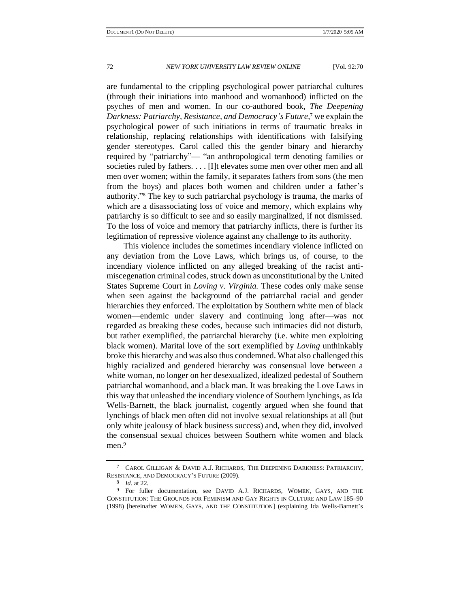are fundamental to the crippling psychological power patriarchal cultures (through their initiations into manhood and womanhood) inflicted on the psyches of men and women. In our co-authored book, *The Deepening Darkness: Patriarchy, Resistance, and Democracy's Future*, <sup>7</sup> we explain the psychological power of such initiations in terms of traumatic breaks in relationship, replacing relationships with identifications with falsifying gender stereotypes. Carol called this the gender binary and hierarchy required by "patriarchy"— "an anthropological term denoting families or societies ruled by fathers. . . . [I]t elevates some men over other men and all men over women; within the family, it separates fathers from sons (the men from the boys) and places both women and children under a father's authority." <sup>8</sup> The key to such patriarchal psychology is trauma, the marks of which are a disassociating loss of voice and memory, which explains why patriarchy is so difficult to see and so easily marginalized, if not dismissed. To the loss of voice and memory that patriarchy inflicts, there is further its legitimation of repressive violence against any challenge to its authority.

This violence includes the sometimes incendiary violence inflicted on any deviation from the Love Laws, which brings us, of course, to the incendiary violence inflicted on any alleged breaking of the racist antimiscegenation criminal codes, struck down as unconstitutional by the United States Supreme Court in *Loving v. Virginia.* These codes only make sense when seen against the background of the patriarchal racial and gender hierarchies they enforced. The exploitation by Southern white men of black women—endemic under slavery and continuing long after—was not regarded as breaking these codes, because such intimacies did not disturb, but rather exemplified, the patriarchal hierarchy (i.e. white men exploiting black women). Marital love of the sort exemplified by *Loving* unthinkably broke this hierarchy and was also thus condemned. What also challenged this highly racialized and gendered hierarchy was consensual love between a white woman, no longer on her desexualized, idealized pedestal of Southern patriarchal womanhood, and a black man. It was breaking the Love Laws in this way that unleashed the incendiary violence of Southern lynchings, as Ida Wells-Barnett, the black journalist, cogently argued when she found that lynchings of black men often did not involve sexual relationships at all (but only white jealousy of black business success) and, when they did, involved the consensual sexual choices between Southern white women and black men.<sup>9</sup>

<sup>7</sup> CAROL GILLIGAN & DAVID A.J. RICHARDS, THE DEEPENING DARKNESS: PATRIARCHY, RESISTANCE, AND DEMOCRACY'S FUTURE (2009).

<sup>8</sup> *Id.* at 22.

<sup>9</sup> For fuller documentation, see DAVID A.J. RICHARDS, WOMEN, GAYS, AND THE CONSTITUTION: THE GROUNDS FOR FEMINISM AND GAY RIGHTS IN CULTURE AND LAW 185–90 (1998) [hereinafter WOMEN, GAYS, AND THE CONSTITUTION] (explaining Ida Wells-Barnett's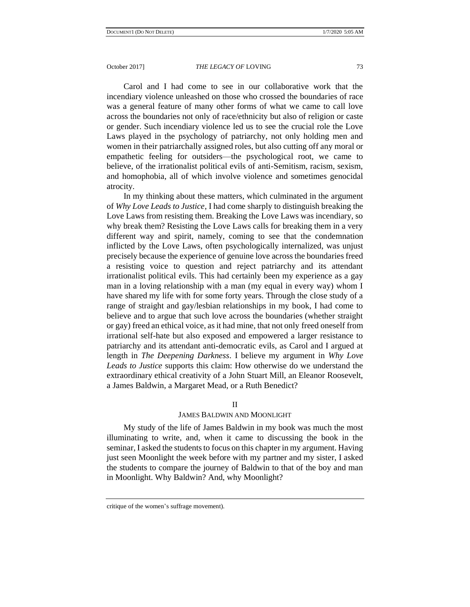Carol and I had come to see in our collaborative work that the incendiary violence unleashed on those who crossed the boundaries of race was a general feature of many other forms of what we came to call love across the boundaries not only of race/ethnicity but also of religion or caste or gender. Such incendiary violence led us to see the crucial role the Love Laws played in the psychology of patriarchy, not only holding men and women in their patriarchally assigned roles, but also cutting off any moral or empathetic feeling for outsiders—the psychological root, we came to believe, of the irrationalist political evils of anti-Semitism, racism, sexism, and homophobia, all of which involve violence and sometimes genocidal atrocity.

In my thinking about these matters, which culminated in the argument of *Why Love Leads to Justice*, I had come sharply to distinguish breaking the Love Laws from resisting them. Breaking the Love Laws was incendiary, so why break them? Resisting the Love Laws calls for breaking them in a very different way and spirit, namely, coming to see that the condemnation inflicted by the Love Laws, often psychologically internalized, was unjust precisely because the experience of genuine love across the boundaries freed a resisting voice to question and reject patriarchy and its attendant irrationalist political evils. This had certainly been my experience as a gay man in a loving relationship with a man (my equal in every way) whom I have shared my life with for some forty years. Through the close study of a range of straight and gay/lesbian relationships in my book, I had come to believe and to argue that such love across the boundaries (whether straight or gay) freed an ethical voice, as it had mine, that not only freed oneself from irrational self-hate but also exposed and empowered a larger resistance to patriarchy and its attendant anti-democratic evils, as Carol and I argued at length in *The Deepening Darkness*. I believe my argument in *Why Love Leads to Justice* supports this claim: How otherwise do we understand the extraordinary ethical creativity of a John Stuart Mill, an Eleanor Roosevelt, a James Baldwin, a Margaret Mead, or a Ruth Benedict?

#### II

## JAMES BALDWIN AND MOONLIGHT

My study of the life of James Baldwin in my book was much the most illuminating to write, and, when it came to discussing the book in the seminar, I asked the students to focus on this chapter in my argument. Having just seen Moonlight the week before with my partner and my sister, I asked the students to compare the journey of Baldwin to that of the boy and man in Moonlight. Why Baldwin? And, why Moonlight?

critique of the women's suffrage movement).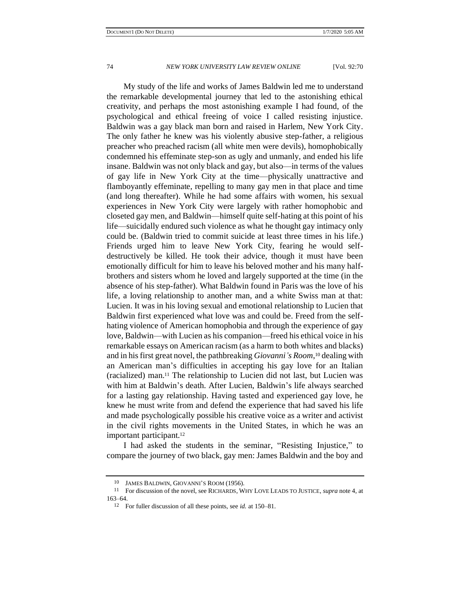My study of the life and works of James Baldwin led me to understand the remarkable developmental journey that led to the astonishing ethical creativity, and perhaps the most astonishing example I had found, of the psychological and ethical freeing of voice I called resisting injustice. Baldwin was a gay black man born and raised in Harlem, New York City. The only father he knew was his violently abusive step-father, a religious preacher who preached racism (all white men were devils), homophobically condemned his effeminate step-son as ugly and unmanly, and ended his life insane. Baldwin was not only black and gay, but also—in terms of the values of gay life in New York City at the time—physically unattractive and flamboyantly effeminate, repelling to many gay men in that place and time (and long thereafter). While he had some affairs with women, his sexual experiences in New York City were largely with rather homophobic and closeted gay men, and Baldwin—himself quite self-hating at this point of his life—suicidally endured such violence as what he thought gay intimacy only could be. (Baldwin tried to commit suicide at least three times in his life.) Friends urged him to leave New York City, fearing he would selfdestructively be killed. He took their advice, though it must have been emotionally difficult for him to leave his beloved mother and his many halfbrothers and sisters whom he loved and largely supported at the time (in the absence of his step-father). What Baldwin found in Paris was the love of his life, a loving relationship to another man, and a white Swiss man at that: Lucien. It was in his loving sexual and emotional relationship to Lucien that Baldwin first experienced what love was and could be. Freed from the selfhating violence of American homophobia and through the experience of gay love, Baldwin—with Lucien as his companion—freed his ethical voice in his remarkable essays on American racism (as a harm to both whites and blacks) and in his first great novel, the pathbreaking *Giovanni's Room*, <sup>10</sup> dealing with an American man's difficulties in accepting his gay love for an Italian (racialized) man.<sup>11</sup> The relationship to Lucien did not last, but Lucien was with him at Baldwin's death. After Lucien, Baldwin's life always searched for a lasting gay relationship. Having tasted and experienced gay love, he knew he must write from and defend the experience that had saved his life and made psychologically possible his creative voice as a writer and activist in the civil rights movements in the United States, in which he was an important participant.<sup>12</sup>

I had asked the students in the seminar, "Resisting Injustice," to compare the journey of two black, gay men: James Baldwin and the boy and

<sup>10</sup> JAMES BALDWIN, GIOVANNI'S ROOM (1956).

<sup>11</sup> For discussion of the novel, see RICHARDS, WHY LOVE LEADS TO JUSTICE, *supra* not[e 4,](#page-1-0) at 163–64.

<sup>12</sup> For fuller discussion of all these points, see *id.* at 150–81.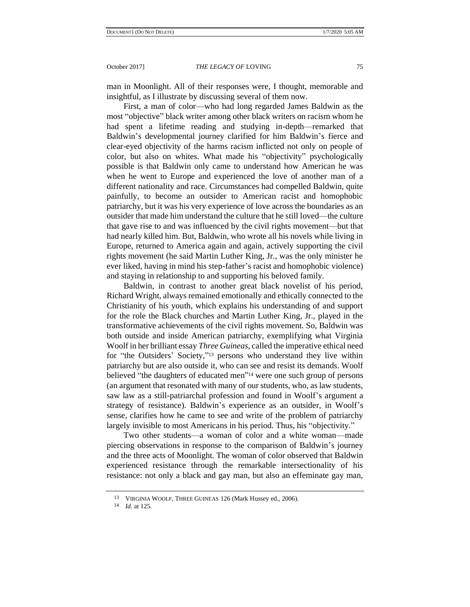man in Moonlight. All of their responses were, I thought, memorable and insightful, as I illustrate by discussing several of them now.

First, a man of color—who had long regarded James Baldwin as the most "objective" black writer among other black writers on racism whom he had spent a lifetime reading and studying in-depth—remarked that Baldwin's developmental journey clarified for him Baldwin's fierce and clear-eyed objectivity of the harms racism inflicted not only on people of color, but also on whites. What made his "objectivity" psychologically possible is that Baldwin only came to understand how American he was when he went to Europe and experienced the love of another man of a different nationality and race. Circumstances had compelled Baldwin, quite painfully, to become an outsider to American racist and homophobic patriarchy, but it was his very experience of love across the boundaries as an outsider that made him understand the culture that he still loved—the culture that gave rise to and was influenced by the civil rights movement—but that had nearly killed him. But, Baldwin, who wrote all his novels while living in Europe, returned to America again and again, actively supporting the civil rights movement (he said Martin Luther King, Jr., was the only minister he ever liked, having in mind his step-father's racist and homophobic violence) and staying in relationship to and supporting his beloved family.

Baldwin, in contrast to another great black novelist of his period, Richard Wright, always remained emotionally and ethically connected to the Christianity of his youth, which explains his understanding of and support for the role the Black churches and Martin Luther King, Jr., played in the transformative achievements of the civil rights movement. So, Baldwin was both outside and inside American patriarchy, exemplifying what Virginia Woolf in her brilliant essay *Three Guineas*, called the imperative ethical need for "the Outsiders' Society," <sup>13</sup> persons who understand they live within patriarchy but are also outside it, who can see and resist its demands. Woolf believed "the daughters of educated men" <sup>14</sup> were one such group of persons (an argument that resonated with many of our students, who, as law students, saw law as a still-patriarchal profession and found in Woolf's argument a strategy of resistance). Baldwin's experience as an outsider, in Woolf's sense, clarifies how he came to see and write of the problem of patriarchy largely invisible to most Americans in his period. Thus, his "objectivity."

Two other students—a woman of color and a white woman—made piercing observations in response to the comparison of Baldwin's journey and the three acts of Moonlight. The woman of color observed that Baldwin experienced resistance through the remarkable intersectionality of his resistance: not only a black and gay man, but also an effeminate gay man,

<sup>13</sup> VIRGINIA WOOLF, THREE GUINEAS 126 (Mark Hussey ed., 2006).

<sup>14</sup> *Id.* at 125.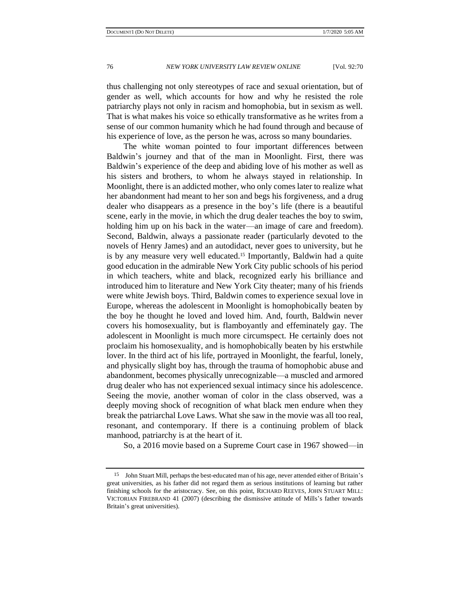thus challenging not only stereotypes of race and sexual orientation, but of gender as well, which accounts for how and why he resisted the role patriarchy plays not only in racism and homophobia, but in sexism as well. That is what makes his voice so ethically transformative as he writes from a sense of our common humanity which he had found through and because of his experience of love, as the person he was, across so many boundaries.

The white woman pointed to four important differences between Baldwin's journey and that of the man in Moonlight. First, there was Baldwin's experience of the deep and abiding love of his mother as well as his sisters and brothers, to whom he always stayed in relationship. In Moonlight, there is an addicted mother, who only comes later to realize what her abandonment had meant to her son and begs his forgiveness, and a drug dealer who disappears as a presence in the boy's life (there is a beautiful scene, early in the movie, in which the drug dealer teaches the boy to swim, holding him up on his back in the water—an image of care and freedom). Second, Baldwin, always a passionate reader (particularly devoted to the novels of Henry James) and an autodidact, never goes to university, but he is by any measure very well educated.<sup>15</sup> Importantly, Baldwin had a quite good education in the admirable New York City public schools of his period in which teachers, white and black, recognized early his brilliance and introduced him to literature and New York City theater; many of his friends were white Jewish boys. Third, Baldwin comes to experience sexual love in Europe, whereas the adolescent in Moonlight is homophobically beaten by the boy he thought he loved and loved him. And, fourth, Baldwin never covers his homosexuality, but is flamboyantly and effeminately gay. The adolescent in Moonlight is much more circumspect. He certainly does not proclaim his homosexuality, and is homophobically beaten by his erstwhile lover. In the third act of his life, portrayed in Moonlight, the fearful, lonely, and physically slight boy has, through the trauma of homophobic abuse and abandonment, becomes physically unrecognizable—a muscled and armored drug dealer who has not experienced sexual intimacy since his adolescence. Seeing the movie, another woman of color in the class observed, was a deeply moving shock of recognition of what black men endure when they break the patriarchal Love Laws. What she saw in the movie was all too real, resonant, and contemporary. If there is a continuing problem of black manhood, patriarchy is at the heart of it.

So, a 2016 movie based on a Supreme Court case in 1967 showed—in

<sup>15</sup> John Stuart Mill, perhaps the best-educated man of his age, never attended either of Britain's great universities, as his father did not regard them as serious institutions of learning but rather finishing schools for the aristocracy. See, on this point, RICHARD REEVES, JOHN STUART MILL: VICTORIAN FIREBRAND 41 (2007) (describing the dismissive attitude of Mills's father towards Britain's great universities).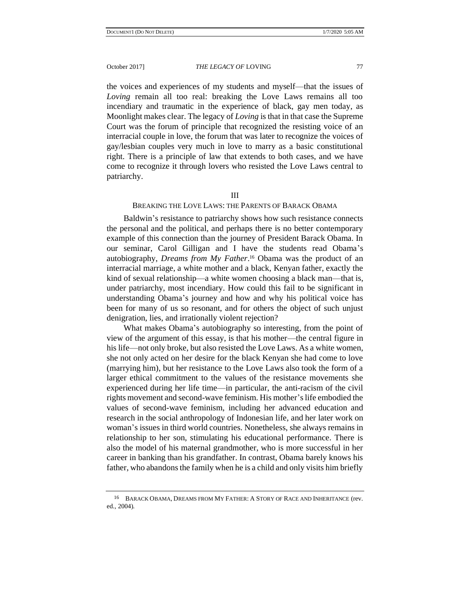the voices and experiences of my students and myself—that the issues of *Loving* remain all too real: breaking the Love Laws remains all too incendiary and traumatic in the experience of black, gay men today, as Moonlight makes clear. The legacy of *Loving* is that in that case the Supreme Court was the forum of principle that recognized the resisting voice of an interracial couple in love, the forum that was later to recognize the voices of gay/lesbian couples very much in love to marry as a basic constitutional right. There is a principle of law that extends to both cases, and we have come to recognize it through lovers who resisted the Love Laws central to patriarchy.

#### III

#### BREAKING THE LOVE LAWS: THE PARENTS OF BARACK OBAMA

Baldwin's resistance to patriarchy shows how such resistance connects the personal and the political, and perhaps there is no better contemporary example of this connection than the journey of President Barack Obama. In our seminar, Carol Gilligan and I have the students read Obama's autobiography, *Dreams from My Father*. <sup>16</sup> Obama was the product of an interracial marriage, a white mother and a black, Kenyan father, exactly the kind of sexual relationship—a white women choosing a black man—that is, under patriarchy, most incendiary. How could this fail to be significant in understanding Obama's journey and how and why his political voice has been for many of us so resonant, and for others the object of such unjust denigration, lies, and irrationally violent rejection?

What makes Obama's autobiography so interesting, from the point of view of the argument of this essay, is that his mother—the central figure in his life—not only broke, but also resisted the Love Laws. As a white women, she not only acted on her desire for the black Kenyan she had come to love (marrying him), but her resistance to the Love Laws also took the form of a larger ethical commitment to the values of the resistance movements she experienced during her life time—in particular, the anti-racism of the civil rights movement and second-wave feminism. His mother's life embodied the values of second-wave feminism, including her advanced education and research in the social anthropology of Indonesian life, and her later work on woman's issues in third world countries. Nonetheless, she always remains in relationship to her son, stimulating his educational performance. There is also the model of his maternal grandmother, who is more successful in her career in banking than his grandfather. In contrast, Obama barely knows his father, who abandons the family when he is a child and only visits him briefly

<sup>16</sup> BARACK OBAMA, DREAMS FROM MY FATHER: A STORY OF RACE AND INHERITANCE (rev. ed., 2004).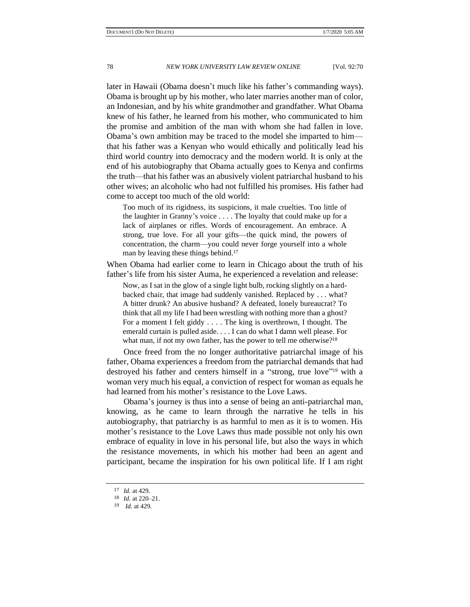later in Hawaii (Obama doesn't much like his father's commanding ways). Obama is brought up by his mother, who later marries another man of color, an Indonesian, and by his white grandmother and grandfather. What Obama knew of his father, he learned from his mother, who communicated to him the promise and ambition of the man with whom she had fallen in love. Obama's own ambition may be traced to the model she imparted to him that his father was a Kenyan who would ethically and politically lead his third world country into democracy and the modern world. It is only at the end of his autobiography that Obama actually goes to Kenya and confirms the truth—that his father was an abusively violent patriarchal husband to his other wives; an alcoholic who had not fulfilled his promises. His father had come to accept too much of the old world:

Too much of its rigidness, its suspicions, it male cruelties. Too little of the laughter in Granny's voice . . . . The loyalty that could make up for a lack of airplanes or rifles. Words of encouragement. An embrace. A strong, true love. For all your gifts—the quick mind, the powers of concentration, the charm—you could never forge yourself into a whole man by leaving these things behind. 17

When Obama had earlier come to learn in Chicago about the truth of his father's life from his sister Auma, he experienced a revelation and release:

Now, as I sat in the glow of a single light bulb, rocking slightly on a hardbacked chair, that image had suddenly vanished. Replaced by . . . what? A bitter drunk? An abusive husband? A defeated, lonely bureaucrat? To think that all my life I had been wrestling with nothing more than a ghost? For a moment I felt giddy . . . . The king is overthrown, I thought. The emerald curtain is pulled aside. . . . I can do what I damn well please. For what man, if not my own father, has the power to tell me otherwise?<sup>18</sup>

Once freed from the no longer authoritative patriarchal image of his father, Obama experiences a freedom from the patriarchal demands that had destroyed his father and centers himself in a "strong, true love"<sup>19</sup> with a woman very much his equal, a conviction of respect for woman as equals he had learned from his mother's resistance to the Love Laws.

Obama's journey is thus into a sense of being an anti-patriarchal man, knowing, as he came to learn through the narrative he tells in his autobiography, that patriarchy is as harmful to men as it is to women. His mother's resistance to the Love Laws thus made possible not only his own embrace of equality in love in his personal life, but also the ways in which the resistance movements, in which his mother had been an agent and participant, became the inspiration for his own political life. If I am right

<sup>17</sup> *Id.* at 429.

<sup>18</sup> *Id.* at 220–21.

<sup>19</sup> *Id.* at 429.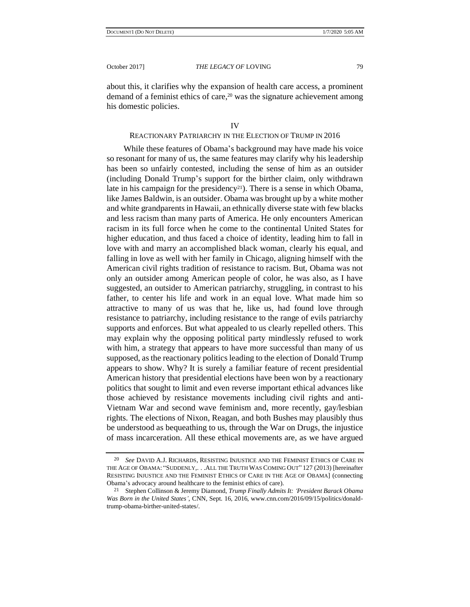about this, it clarifies why the expansion of health care access, a prominent demand of a feminist ethics of care,<sup>20</sup> was the signature achievement among his domestic policies.

# <span id="page-9-0"></span>REACTIONARY PATRIARCHY IN THE ELECTION OF TRUMP IN 2016

While these features of Obama's background may have made his voice so resonant for many of us, the same features may clarify why his leadership has been so unfairly contested, including the sense of him as an outsider (including Donald Trump's support for the birther claim, only withdrawn late in his campaign for the presidency<sup>21</sup>). There is a sense in which Obama, like James Baldwin, is an outsider. Obama was brought up by a white mother and white grandparents in Hawaii, an ethnically diverse state with few blacks and less racism than many parts of America. He only encounters American racism in its full force when he come to the continental United States for higher education, and thus faced a choice of identity, leading him to fall in love with and marry an accomplished black woman, clearly his equal, and falling in love as well with her family in Chicago, aligning himself with the American civil rights tradition of resistance to racism. But, Obama was not only an outsider among American people of color, he was also, as I have suggested, an outsider to American patriarchy, struggling, in contrast to his father, to center his life and work in an equal love. What made him so attractive to many of us was that he, like us, had found love through resistance to patriarchy, including resistance to the range of evils patriarchy supports and enforces. But what appealed to us clearly repelled others. This may explain why the opposing political party mindlessly refused to work with him, a strategy that appears to have more successful than many of us supposed, as the reactionary politics leading to the election of Donald Trump appears to show. Why? It is surely a familiar feature of recent presidential American history that presidential elections have been won by a reactionary politics that sought to limit and even reverse important ethical advances like those achieved by resistance movements including civil rights and anti-Vietnam War and second wave feminism and, more recently, gay/lesbian rights. The elections of Nixon, Reagan, and both Bushes may plausibly thus be understood as bequeathing to us, through the War on Drugs, the injustice of mass incarceration. All these ethical movements are, as we have argued

<sup>20</sup> *See* DAVID A.J. RICHARDS, RESISTING INJUSTICE AND THE FEMINIST ETHICS OF CARE IN THE AGE OF OBAMA: "SUDDENLY,. . .ALL THE TRUTH WAS COMING OUT" 127 (2013) [hereinafter RESISTING INJUSTICE AND THE FEMINIST ETHICS OF CARE IN THE AGE OF OBAMA] (connecting Obama's advocacy around healthcare to the feminist ethics of care).

<sup>21</sup> Stephen Collinson & Jeremy Diamond, *Trump Finally Admits It: 'President Barack Obama Was Born in the United States'*, CNN, Sept. 16, 2016, www.cnn.com/2016/09/15/politics/donaldtrump-obama-birther-united-states/.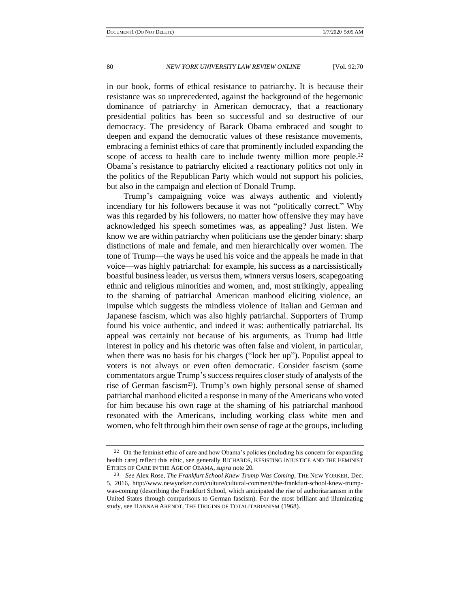in our book, forms of ethical resistance to patriarchy. It is because their resistance was so unprecedented, against the background of the hegemonic dominance of patriarchy in American democracy, that a reactionary presidential politics has been so successful and so destructive of our democracy. The presidency of Barack Obama embraced and sought to deepen and expand the democratic values of these resistance movements, embracing a feminist ethics of care that prominently included expanding the scope of access to health care to include twenty million more people.<sup>22</sup> Obama's resistance to patriarchy elicited a reactionary politics not only in the politics of the Republican Party which would not support his policies, but also in the campaign and election of Donald Trump.

Trump's campaigning voice was always authentic and violently incendiary for his followers because it was not "politically correct." Why was this regarded by his followers, no matter how offensive they may have acknowledged his speech sometimes was, as appealing? Just listen. We know we are within patriarchy when politicians use the gender binary: sharp distinctions of male and female, and men hierarchically over women. The tone of Trump—the ways he used his voice and the appeals he made in that voice—was highly patriarchal: for example, his success as a narcissistically boastful business leader, us versus them, winners versus losers, scapegoating ethnic and religious minorities and women, and, most strikingly, appealing to the shaming of patriarchal American manhood eliciting violence, an impulse which suggests the mindless violence of Italian and German and Japanese fascism, which was also highly patriarchal. Supporters of Trump found his voice authentic, and indeed it was: authentically patriarchal. Its appeal was certainly not because of his arguments, as Trump had little interest in policy and his rhetoric was often false and violent, in particular, when there was no basis for his charges ("lock her up"). Populist appeal to voters is not always or even often democratic. Consider fascism (some commentators argue Trump's success requires closer study of analysts of the rise of German fascism<sup>23</sup>). Trump's own highly personal sense of shamed patriarchal manhood elicited a response in many of the Americans who voted for him because his own rage at the shaming of his patriarchal manhood resonated with the Americans, including working class white men and women, who felt through him their own sense of rage at the groups, including

 $22$  On the feminist ethic of care and how Obama's policies (including his concern for expanding health care) reflect this ethic, see generally RICHARDS, RESISTING INJUSTICE AND THE FEMINIST ETHICS OF CARE IN THE AGE OF OBAMA, *supra* not[e 20.](#page-9-0)

<sup>23</sup> *See* Alex Rose, *The Frankfurt School Knew Trump Was Coming*, THE NEW YORKER, Dec. 5, 2016, http://www.newyorker.com/culture/cultural-comment/the-frankfurt-school-knew-trumpwas-coming (describing the Frankfurt School, which anticipated the rise of authoritarianism in the United States through comparisons to German fascism). For the most brilliant and illuminating study, see HANNAH ARENDT, THE ORIGINS OF TOTALITARIANISM (1968).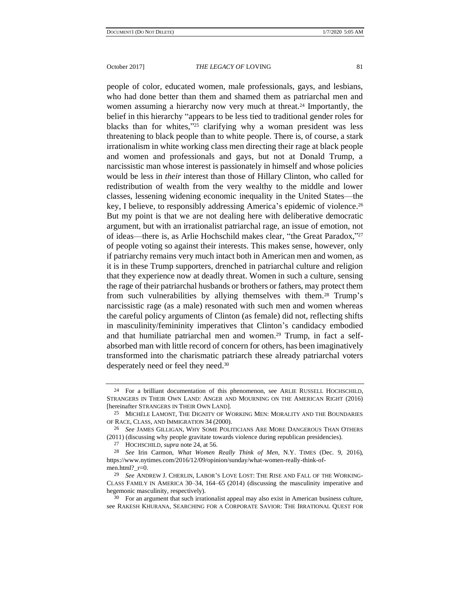<span id="page-11-0"></span>people of color, educated women, male professionals, gays, and lesbians, who had done better than them and shamed them as patriarchal men and women assuming a hierarchy now very much at threat.<sup>24</sup> Importantly, the belief in this hierarchy "appears to be less tied to traditional gender roles for blacks than for whites," <sup>25</sup> clarifying why a woman president was less threatening to black people than to white people. There is, of course, a stark irrationalism in white working class men directing their rage at black people and women and professionals and gays, but not at Donald Trump, a narcissistic man whose interest is passionately in himself and whose policies would be less in *their* interest than those of Hillary Clinton, who called for redistribution of wealth from the very wealthy to the middle and lower classes, lessening widening economic inequality in the United States—the key, I believe, to responsibly addressing America's epidemic of violence.<sup>26</sup> But my point is that we are not dealing here with deliberative democratic argument, but with an irrationalist patriarchal rage, an issue of emotion, not of ideas—there is, as Arlie Hochschild makes clear, "the Great Paradox,"<sup>27</sup> of people voting so against their interests. This makes sense, however, only if patriarchy remains very much intact both in American men and women, as it is in these Trump supporters, drenched in patriarchal culture and religion that they experience now at deadly threat. Women in such a culture, sensing the rage of their patriarchal husbands or brothers or fathers, may protect them from such vulnerabilities by allying themselves with them.<sup>28</sup> Trump's narcissistic rage (as a male) resonated with such men and women whereas the careful policy arguments of Clinton (as female) did not, reflecting shifts in masculinity/femininity imperatives that Clinton's candidacy embodied and that humiliate patriarchal men and women.<sup>29</sup> Trump, in fact a selfabsorbed man with little record of concern for others, has been imaginatively transformed into the charismatic patriarch these already patriarchal voters desperately need or feel they need.<sup>30</sup>

<sup>30</sup> For an argument that such irrationalist appeal may also exist in American business culture, see RAKESH KHURANA, SEARCHING FOR A CORPORATE SAVIOR: THE IRRATIONAL QUEST FOR

<sup>24</sup> For a brilliant documentation of this phenomenon, see ARLIE RUSSELL HOCHSCHILD, STRANGERS IN THEIR OWN LAND: ANGER AND MOURNING ON THE AMERICAN RIGHT (2016) [hereinafter STRANGERS IN THEIR OWN LAND].

<sup>25</sup> MICHÈLE LAMONT, THE DIGNITY OF WORKING MEN: MORALITY AND THE BOUNDARIES OF RACE, CLASS, AND IMMIGRATION 34 (2000).

<sup>26</sup> *See* JAMES GILLIGAN, WHY SOME POLITICIANS ARE MORE DANGEROUS THAN OTHERS (2011) (discussing why people gravitate towards violence during republican presidencies).

<sup>27</sup> HOCHSCHILD, *supra* note [24,](#page-11-0) at 56.

<sup>28</sup> *See* Irin Carmon, *What Women Really Think of Men*, N.Y. TIMES (Dec. 9, 2016), https://www.nytimes.com/2016/12/09/opinion/sunday/what-women-really-think-ofmen.html?\_r=0.

<sup>29</sup> *See* ANDREW J. CHERLIN, LABOR'S LOVE LOST: THE RISE AND FALL OF THE WORKING-CLASS FAMILY IN AMERICA 30–34, 164–65 (2014) (discussing the masculinity imperative and hegemonic masculinity, respectively).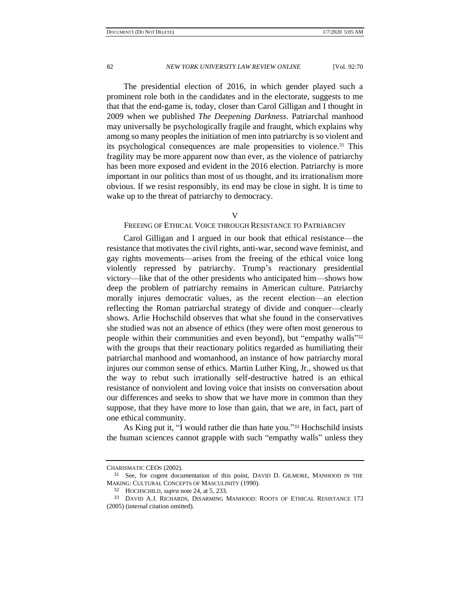The presidential election of 2016, in which gender played such a prominent role both in the candidates and in the electorate, suggests to me that that the end-game is, today, closer than Carol Gilligan and I thought in 2009 when we published *The Deepening Darkness*. Patriarchal manhood may universally be psychologically fragile and fraught, which explains why among so many peoples the initiation of men into patriarchy is so violent and its psychological consequences are male propensities to violence.<sup>31</sup> This fragility may be more apparent now than ever, as the violence of patriarchy has been more exposed and evident in the 2016 election. Patriarchy is more important in our politics than most of us thought, and its irrationalism more obvious. If we resist responsibly, its end may be close in sight. It is time to wake up to the threat of patriarchy to democracy.

V

## FREEING OF ETHICAL VOICE THROUGH RESISTANCE TO PATRIARCHY

Carol Gilligan and I argued in our book that ethical resistance—the resistance that motivates the civil rights, anti-war, second wave feminist, and gay rights movements—arises from the freeing of the ethical voice long violently repressed by patriarchy. Trump's reactionary presidential victory—like that of the other presidents who anticipated him—shows how deep the problem of patriarchy remains in American culture. Patriarchy morally injures democratic values, as the recent election—an election reflecting the Roman patriarchal strategy of divide and conquer—clearly shows. Arlie Hochschild observes that what she found in the conservatives she studied was not an absence of ethics (they were often most generous to people within their communities and even beyond), but "empathy walls"<sup>32</sup> with the groups that their reactionary politics regarded as humiliating their patriarchal manhood and womanhood, an instance of how patriarchy moral injures our common sense of ethics. Martin Luther King, Jr., showed us that the way to rebut such irrationally self-destructive hatred is an ethical resistance of nonviolent and loving voice that insists on conversation about our differences and seeks to show that we have more in common than they suppose, that they have more to lose than gain, that we are, in fact, part of one ethical community.

As King put it, "I would rather die than hate you." <sup>33</sup> Hochschild insists the human sciences cannot grapple with such "empathy walls" unless they

CHARISMATIC CEOS (2002).

<sup>31</sup> See, for cogent documentation of this point, DAVID D. GILMORE, MANHOOD IN THE MAKING: CULTURAL CONCEPTS OF MASCULINITY (1990).

<sup>32</sup> HOCHSCHILD, *supra* note [24,](#page-11-0) at 5, 233.

<sup>33</sup> DAVID A.J. RICHARDS, DISARMING MANHOOD: ROOTS OF ETHICAL RESISTANCE 173 (2005) (internal citation omitted).